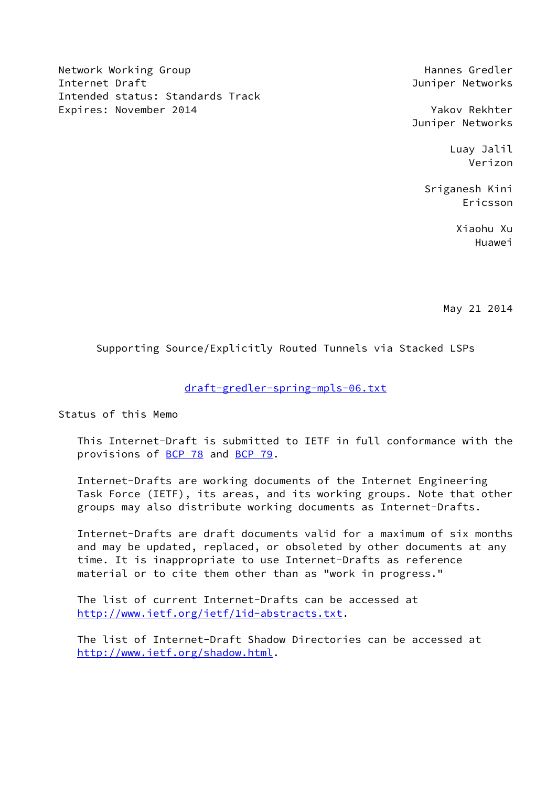Network Working Group Network Alexander (Network Mannes Gredler Internet Draft **Internet Draft** And Tunism and Tunism and Tunism and Tunism and Tunism and Tunism and Tunism and Tunism and Tunism and Tunism and Tunism and Tunism and Tunism and Tunism and Tunism and Tunism and Tunism and Intended status: Standards Track Expires: November 2014 **Yakov Rekhter** 

Juniper Networks

 Luay Jalil Verizon

 Sriganesh Kini Ericsson

 Xiaohu Xu Huawei

May 21 2014

Supporting Source/Explicitly Routed Tunnels via Stacked LSPs

# [draft-gredler-spring-mpls-06.txt](https://datatracker.ietf.org/doc/pdf/draft-gredler-spring-mpls-06.txt)

Status of this Memo

 This Internet-Draft is submitted to IETF in full conformance with the provisions of [BCP 78](https://datatracker.ietf.org/doc/pdf/bcp78) and [BCP 79](https://datatracker.ietf.org/doc/pdf/bcp79).

 Internet-Drafts are working documents of the Internet Engineering Task Force (IETF), its areas, and its working groups. Note that other groups may also distribute working documents as Internet-Drafts.

 Internet-Drafts are draft documents valid for a maximum of six months and may be updated, replaced, or obsoleted by other documents at any time. It is inappropriate to use Internet-Drafts as reference material or to cite them other than as "work in progress."

 The list of current Internet-Drafts can be accessed at <http://www.ietf.org/ietf/1id-abstracts.txt>.

 The list of Internet-Draft Shadow Directories can be accessed at <http://www.ietf.org/shadow.html>.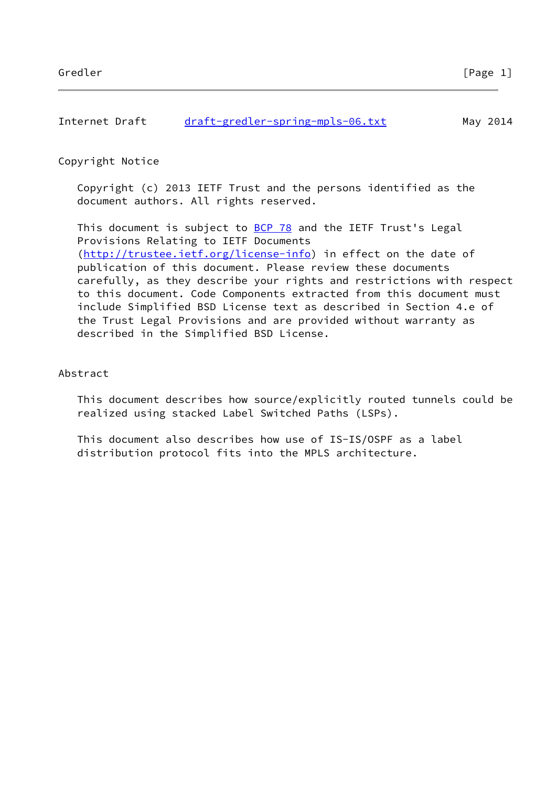| Internet Draft | draft-gredler-spring-mpls-06.txt | May 2014 |
|----------------|----------------------------------|----------|
|                |                                  |          |

Copyright Notice

 Copyright (c) 2013 IETF Trust and the persons identified as the document authors. All rights reserved.

This document is subject to **[BCP 78](https://datatracker.ietf.org/doc/pdf/bcp78)** and the IETF Trust's Legal Provisions Relating to IETF Documents [\(http://trustee.ietf.org/license-info](http://trustee.ietf.org/license-info)) in effect on the date of publication of this document. Please review these documents carefully, as they describe your rights and restrictions with respect to this document. Code Components extracted from this document must include Simplified BSD License text as described in Section 4.e of the Trust Legal Provisions and are provided without warranty as described in the Simplified BSD License.

## Abstract

 This document describes how source/explicitly routed tunnels could be realized using stacked Label Switched Paths (LSPs).

 This document also describes how use of IS-IS/OSPF as a label distribution protocol fits into the MPLS architecture.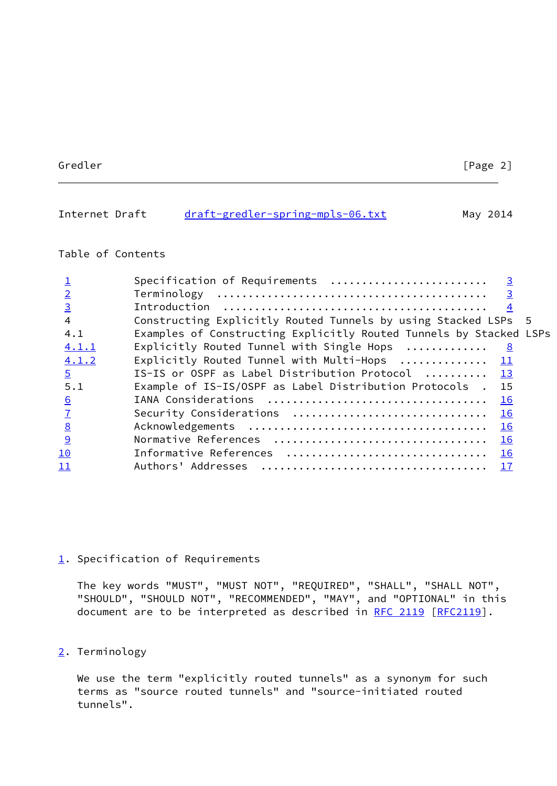# <span id="page-2-1"></span>Internet Draft [draft-gredler-spring-mpls-06.txt](https://datatracker.ietf.org/doc/pdf/draft-gredler-spring-mpls-06.txt) May 2014

# Table of Contents

|                | Specification of Requirements $\ldots \ldots \ldots \ldots \ldots \ldots$ |
|----------------|---------------------------------------------------------------------------|
|                |                                                                           |
| $\overline{3}$ |                                                                           |
|                | Constructing Explicitly Routed Tunnels by using Stacked LSPs 5            |
| 4.1            | Examples of Constructing Explicitly Routed Tunnels by Stacked LSPs        |
| 4.1.1          | Explicitly Routed Tunnel with Single Hops<br>$\overline{\mathbf{8}}$      |
| 4.1.2          | Explicitly Routed Tunnel with Multi-Hops  11                              |
| $\overline{5}$ | IS-IS or OSPF as Label Distribution Protocol  13                          |
| 5.1            | Example of IS-IS/OSPF as Label Distribution Protocols . 15                |
| 6              |                                                                           |
|                | Security Considerations<br>16                                             |
| 8              | 16                                                                        |
| 9              | 16                                                                        |
| <u> 10</u>     |                                                                           |
| <u> 11</u>     | 17                                                                        |
|                |                                                                           |

### <span id="page-2-0"></span>[1](#page-2-0). Specification of Requirements

 The key words "MUST", "MUST NOT", "REQUIRED", "SHALL", "SHALL NOT", "SHOULD", "SHOULD NOT", "RECOMMENDED", "MAY", and "OPTIONAL" in this document are to be interpreted as described in [RFC 2119 \[RFC2119](https://datatracker.ietf.org/doc/pdf/rfc2119)].

# <span id="page-2-2"></span>[2](#page-2-2). Terminology

 We use the term "explicitly routed tunnels" as a synonym for such terms as "source routed tunnels" and "source-initiated routed tunnels".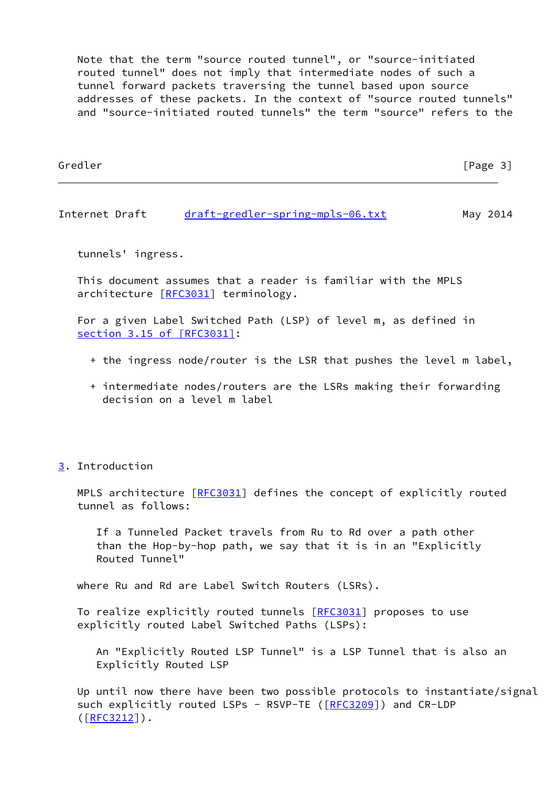Note that the term "source routed tunnel", or "source-initiated routed tunnel" does not imply that intermediate nodes of such a tunnel forward packets traversing the tunnel based upon source addresses of these packets. In the context of "source routed tunnels" and "source-initiated routed tunnels" the term "source" refers to the

| Gredler | [Page 3] |
|---------|----------|
|         |          |
|         |          |

<span id="page-3-1"></span>Internet Draft [draft-gredler-spring-mpls-06.txt](https://datatracker.ietf.org/doc/pdf/draft-gredler-spring-mpls-06.txt) May 2014

tunnels' ingress.

 This document assumes that a reader is familiar with the MPLS architecture [\[RFC3031](https://datatracker.ietf.org/doc/pdf/rfc3031)] terminology.

 For a given Label Switched Path (LSP) of level m, as defined in section [3.15 of \[RFC3031\]](https://datatracker.ietf.org/doc/pdf/rfc3031#section-3.15):

- + the ingress node/router is the LSR that pushes the level m label,
- + intermediate nodes/routers are the LSRs making their forwarding decision on a level m label
- <span id="page-3-0"></span>[3](#page-3-0). Introduction

MPLS architecture [[RFC3031](https://datatracker.ietf.org/doc/pdf/rfc3031)] defines the concept of explicitly routed tunnel as follows:

 If a Tunneled Packet travels from Ru to Rd over a path other than the Hop-by-hop path, we say that it is in an "Explicitly Routed Tunnel"

where Ru and Rd are Label Switch Routers (LSRs).

To realize explicitly routed tunnels [\[RFC3031](https://datatracker.ietf.org/doc/pdf/rfc3031)] proposes to use explicitly routed Label Switched Paths (LSPs):

 An "Explicitly Routed LSP Tunnel" is a LSP Tunnel that is also an Explicitly Routed LSP

 Up until now there have been two possible protocols to instantiate/signal such explicitly routed LSPs - RSVP-TE ([\[RFC3209](https://datatracker.ietf.org/doc/pdf/rfc3209)]) and CR-LDP  $([RFC3212])$  $([RFC3212])$  $([RFC3212])$ .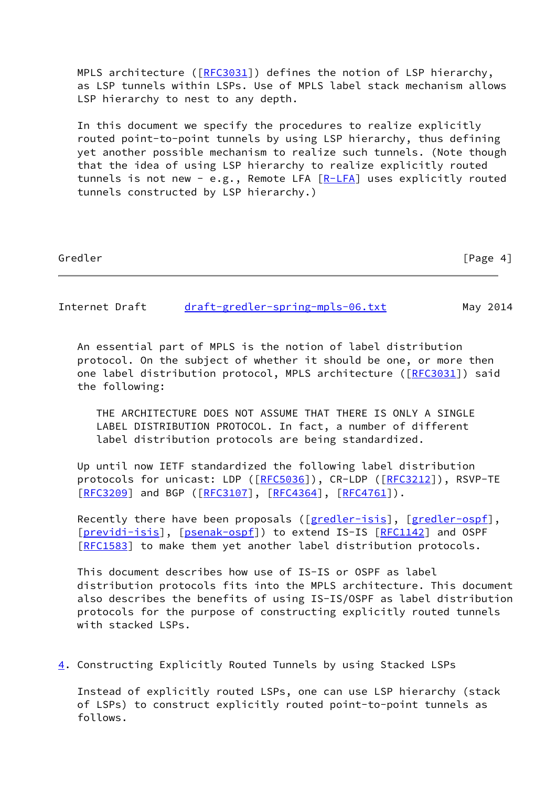MPLS architecture ( $[RE3031]$ ) defines the notion of LSP hierarchy, as LSP tunnels within LSPs. Use of MPLS label stack mechanism allows LSP hierarchy to nest to any depth.

 In this document we specify the procedures to realize explicitly routed point-to-point tunnels by using LSP hierarchy, thus defining yet another possible mechanism to realize such tunnels. (Note though that the idea of using LSP hierarchy to realize explicitly routed tunnels is not new - e.g., Remote LFA  $[R-LFA]$  uses explicitly routed tunnels constructed by LSP hierarchy.)

Gredler [Page 4]

Internet Draft [draft-gredler-spring-mpls-06.txt](https://datatracker.ietf.org/doc/pdf/draft-gredler-spring-mpls-06.txt) May 2014

 An essential part of MPLS is the notion of label distribution protocol. On the subject of whether it should be one, or more then one label distribution protocol, MPLS architecture ([\[RFC3031](https://datatracker.ietf.org/doc/pdf/rfc3031)]) said the following:

 THE ARCHITECTURE DOES NOT ASSUME THAT THERE IS ONLY A SINGLE LABEL DISTRIBUTION PROTOCOL. In fact, a number of different label distribution protocols are being standardized.

 Up until now IETF standardized the following label distribution protocols for unicast: LDP ([\[RFC5036](https://datatracker.ietf.org/doc/pdf/rfc5036)]), CR-LDP ([\[RFC3212](https://datatracker.ietf.org/doc/pdf/rfc3212)]), RSVP-TE [\[RFC3209](https://datatracker.ietf.org/doc/pdf/rfc3209)] and BGP ([[RFC3107\]](https://datatracker.ietf.org/doc/pdf/rfc3107), [[RFC4364](https://datatracker.ietf.org/doc/pdf/rfc4364)], [\[RFC4761](https://datatracker.ietf.org/doc/pdf/rfc4761)]).

Recently there have been proposals ([\[gredler-isis](#page-17-5)], [\[gredler-ospf](#page-17-6)], [\[previdi-isis](#page-17-7)], [\[psenak-ospf](#page-18-3)]) to extend IS-IS [\[RFC1142](https://datatracker.ietf.org/doc/pdf/rfc1142)] and OSPF [\[RFC1583](https://datatracker.ietf.org/doc/pdf/rfc1583)] to make them yet another label distribution protocols.

 This document describes how use of IS-IS or OSPF as label distribution protocols fits into the MPLS architecture. This document also describes the benefits of using IS-IS/OSPF as label distribution protocols for the purpose of constructing explicitly routed tunnels with stacked LSPs.

<span id="page-4-0"></span>[4](#page-4-0). Constructing Explicitly Routed Tunnels by using Stacked LSPs

 Instead of explicitly routed LSPs, one can use LSP hierarchy (stack of LSPs) to construct explicitly routed point-to-point tunnels as follows.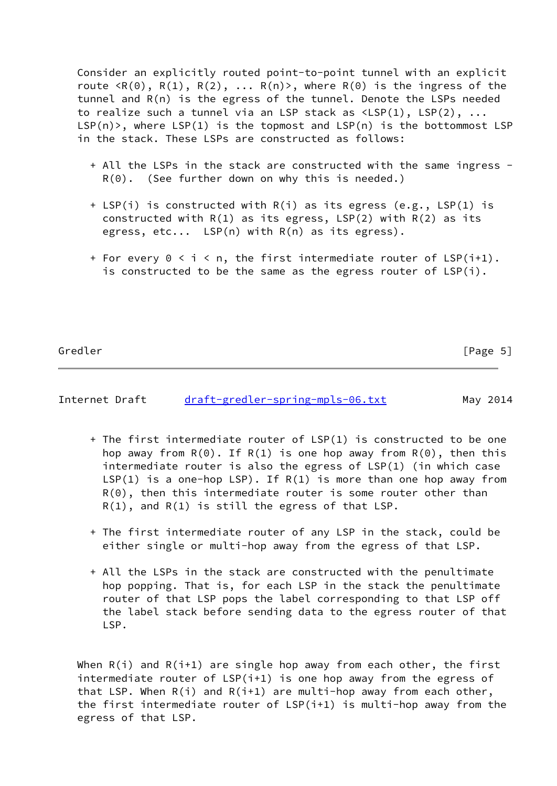Consider an explicitly routed point-to-point tunnel with an explicit route  $\langle R(\theta), R(1), R(2), \ldots R(n) \rangle$ , where  $R(\theta)$  is the ingress of the tunnel and R(n) is the egress of the tunnel. Denote the LSPs needed to realize such a tunnel via an LSP stack as  $\langle LSP(1), LSP(2), \ldots \rangle$  $LSP(n)$ , where  $LSP(1)$  is the topmost and  $LSP(n)$  is the bottommost  $LSP$ in the stack. These LSPs are constructed as follows:

- + All the LSPs in the stack are constructed with the same ingress  $R(\Theta)$ . (See further down on why this is needed.)
- + LSP(i) is constructed with R(i) as its egress (e.g., LSP(1) is constructed with  $R(1)$  as its egress,  $LSP(2)$  with  $R(2)$  as its egress, etc... LSP(n) with R(n) as its egress).
- + For every  $0 \le i \le n$ , the first intermediate router of LSP(i+1). is constructed to be the same as the egress router of LSP(i).

Gredler [Page 5]

Internet Draft [draft-gredler-spring-mpls-06.txt](https://datatracker.ietf.org/doc/pdf/draft-gredler-spring-mpls-06.txt) May 2014

- + The first intermediate router of LSP(1) is constructed to be one hop away from  $R(\theta)$ . If  $R(1)$  is one hop away from  $R(\theta)$ , then this intermediate router is also the egress of LSP(1) (in which case  $LSP(1)$  is a one-hop LSP). If  $R(1)$  is more than one hop away from R(0), then this intermediate router is some router other than  $R(1)$ , and  $R(1)$  is still the egress of that LSP.
- + The first intermediate router of any LSP in the stack, could be either single or multi-hop away from the egress of that LSP.
- + All the LSPs in the stack are constructed with the penultimate hop popping. That is, for each LSP in the stack the penultimate router of that LSP pops the label corresponding to that LSP off the label stack before sending data to the egress router of that LSP.

When  $R(i)$  and  $R(i+1)$  are single hop away from each other, the first intermediate router of LSP(i+1) is one hop away from the egress of that LSP. When  $R(i)$  and  $R(i+1)$  are multi-hop away from each other, the first intermediate router of LSP(i+1) is multi-hop away from the egress of that LSP.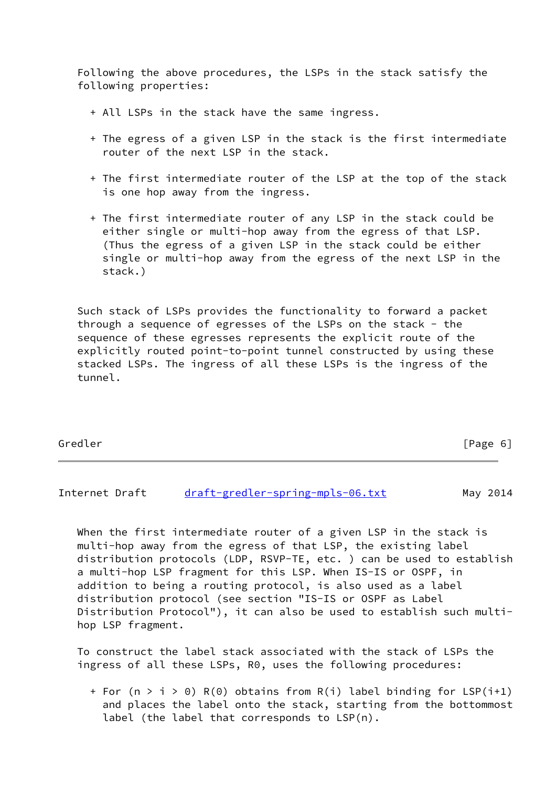Following the above procedures, the LSPs in the stack satisfy the following properties:

- + All LSPs in the stack have the same ingress.
- + The egress of a given LSP in the stack is the first intermediate router of the next LSP in the stack.
- + The first intermediate router of the LSP at the top of the stack is one hop away from the ingress.
- + The first intermediate router of any LSP in the stack could be either single or multi-hop away from the egress of that LSP. (Thus the egress of a given LSP in the stack could be either single or multi-hop away from the egress of the next LSP in the stack.)

 Such stack of LSPs provides the functionality to forward a packet through a sequence of egresses of the LSPs on the stack - the sequence of these egresses represents the explicit route of the explicitly routed point-to-point tunnel constructed by using these stacked LSPs. The ingress of all these LSPs is the ingress of the tunnel.

| Gredler | [Page 6] |
|---------|----------|
|---------|----------|

Internet Draft [draft-gredler-spring-mpls-06.txt](https://datatracker.ietf.org/doc/pdf/draft-gredler-spring-mpls-06.txt) May 2014

When the first intermediate router of a given LSP in the stack is multi-hop away from the egress of that LSP, the existing label distribution protocols (LDP, RSVP-TE, etc. ) can be used to establish a multi-hop LSP fragment for this LSP. When IS-IS or OSPF, in addition to being a routing protocol, is also used as a label distribution protocol (see section "IS-IS or OSPF as Label Distribution Protocol"), it can also be used to establish such multi hop LSP fragment.

 To construct the label stack associated with the stack of LSPs the ingress of all these LSPs, R0, uses the following procedures:

+ For (n > i > 0) R(0) obtains from R(i) label binding for LSP(i+1) and places the label onto the stack, starting from the bottommost label (the label that corresponds to LSP(n).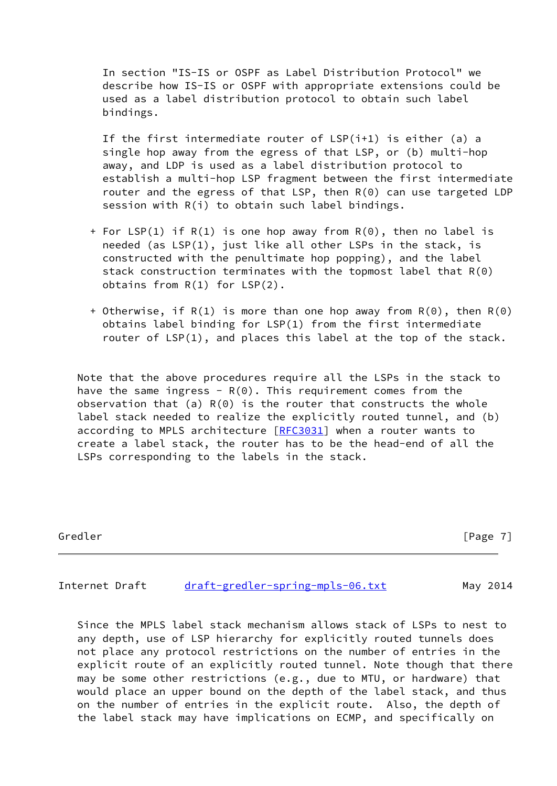In section "IS-IS or OSPF as Label Distribution Protocol" we describe how IS-IS or OSPF with appropriate extensions could be used as a label distribution protocol to obtain such label bindings.

If the first intermediate router of  $LSP(i+1)$  is either (a) a single hop away from the egress of that LSP, or (b) multi-hop away, and LDP is used as a label distribution protocol to establish a multi-hop LSP fragment between the first intermediate router and the egress of that LSP, then R(0) can use targeted LDP session with R(i) to obtain such label bindings.

- + For LSP(1) if R(1) is one hop away from R(0), then no label is needed (as LSP(1), just like all other LSPs in the stack, is constructed with the penultimate hop popping), and the label stack construction terminates with the topmost label that R(0) obtains from R(1) for LSP(2).
- + Otherwise, if R(1) is more than one hop away from R(0), then R(0) obtains label binding for LSP(1) from the first intermediate router of LSP(1), and places this label at the top of the stack.

 Note that the above procedures require all the LSPs in the stack to have the same ingress -  $R(\theta)$ . This requirement comes from the observation that (a)  $R(\theta)$  is the router that constructs the whole label stack needed to realize the explicitly routed tunnel, and (b) according to MPLS architecture [\[RFC3031](https://datatracker.ietf.org/doc/pdf/rfc3031)] when a router wants to create a label stack, the router has to be the head-end of all the LSPs corresponding to the labels in the stack.

Gredler [Page 7]

<span id="page-7-0"></span>Internet Draft [draft-gredler-spring-mpls-06.txt](https://datatracker.ietf.org/doc/pdf/draft-gredler-spring-mpls-06.txt) May 2014

 Since the MPLS label stack mechanism allows stack of LSPs to nest to any depth, use of LSP hierarchy for explicitly routed tunnels does not place any protocol restrictions on the number of entries in the explicit route of an explicitly routed tunnel. Note though that there may be some other restrictions (e.g., due to MTU, or hardware) that would place an upper bound on the depth of the label stack, and thus on the number of entries in the explicit route. Also, the depth of the label stack may have implications on ECMP, and specifically on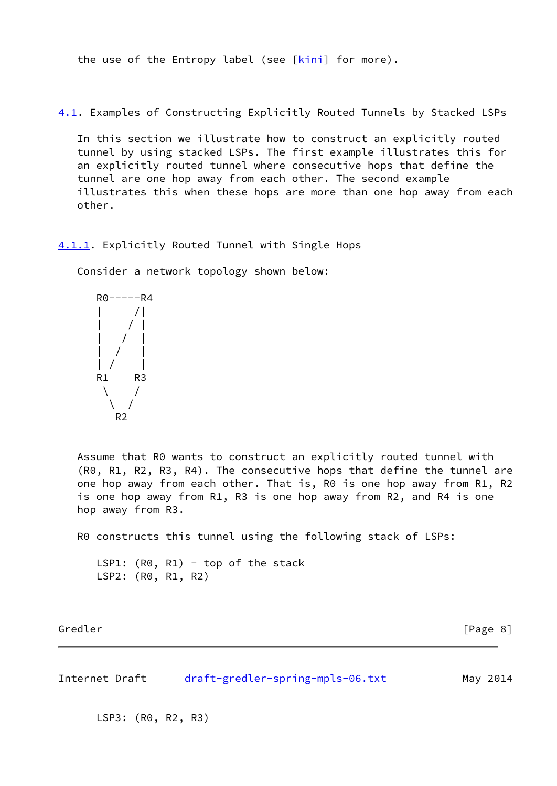the use of the Entropy label (see  $[kinn]$  for more).

<span id="page-8-1"></span>[4.1](#page-8-1). Examples of Constructing Explicitly Routed Tunnels by Stacked LSPs

 In this section we illustrate how to construct an explicitly routed tunnel by using stacked LSPs. The first example illustrates this for an explicitly routed tunnel where consecutive hops that define the tunnel are one hop away from each other. The second example illustrates this when these hops are more than one hop away from each other.

<span id="page-8-0"></span>[4.1.1](#page-8-0). Explicitly Routed Tunnel with Single Hops

Consider a network topology shown below:

$$
\begin{array}{c|c}\nR0-----R4 \\
| & / & | \\
| & / & | \\
| & / & | \\
| & / & | \\
R1 & R3 & \n\end{array}
$$

 Assume that R0 wants to construct an explicitly routed tunnel with (R0, R1, R2, R3, R4). The consecutive hops that define the tunnel are one hop away from each other. That is, R0 is one hop away from R1, R2 is one hop away from R1, R3 is one hop away from R2, and R4 is one hop away from R3.

R0 constructs this tunnel using the following stack of LSPs:

LSP1:  $(R0, R1)$  - top of the stack LSP2: (R0, R1, R2)

Gredler [Page 8]

Internet Draft [draft-gredler-spring-mpls-06.txt](https://datatracker.ietf.org/doc/pdf/draft-gredler-spring-mpls-06.txt) May 2014

LSP3: (R0, R2, R3)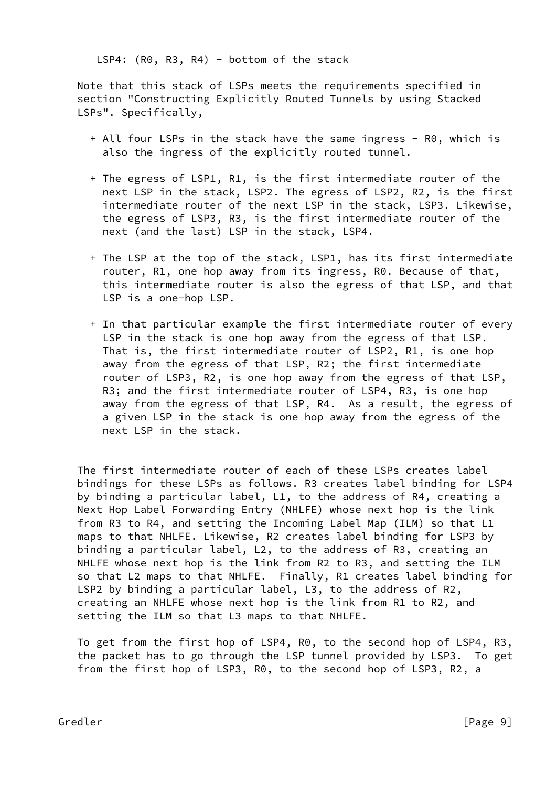LSP4: (R0, R3, R4) - bottom of the stack

 Note that this stack of LSPs meets the requirements specified in section "Constructing Explicitly Routed Tunnels by using Stacked LSPs". Specifically,

- + All four LSPs in the stack have the same ingress R0, which is also the ingress of the explicitly routed tunnel.
- + The egress of LSP1, R1, is the first intermediate router of the next LSP in the stack, LSP2. The egress of LSP2, R2, is the first intermediate router of the next LSP in the stack, LSP3. Likewise, the egress of LSP3, R3, is the first intermediate router of the next (and the last) LSP in the stack, LSP4.
- + The LSP at the top of the stack, LSP1, has its first intermediate router, R1, one hop away from its ingress, R0. Because of that, this intermediate router is also the egress of that LSP, and that LSP is a one-hop LSP.
- + In that particular example the first intermediate router of every LSP in the stack is one hop away from the egress of that LSP. That is, the first intermediate router of LSP2, R1, is one hop away from the egress of that LSP, R2; the first intermediate router of LSP3, R2, is one hop away from the egress of that LSP, R3; and the first intermediate router of LSP4, R3, is one hop away from the egress of that LSP, R4. As a result, the egress of a given LSP in the stack is one hop away from the egress of the next LSP in the stack.

 The first intermediate router of each of these LSPs creates label bindings for these LSPs as follows. R3 creates label binding for LSP4 by binding a particular label, L1, to the address of R4, creating a Next Hop Label Forwarding Entry (NHLFE) whose next hop is the link from R3 to R4, and setting the Incoming Label Map (ILM) so that L1 maps to that NHLFE. Likewise, R2 creates label binding for LSP3 by binding a particular label, L2, to the address of R3, creating an NHLFE whose next hop is the link from R2 to R3, and setting the ILM so that L2 maps to that NHLFE. Finally, R1 creates label binding for LSP2 by binding a particular label, L3, to the address of R2, creating an NHLFE whose next hop is the link from R1 to R2, and setting the ILM so that L3 maps to that NHLFE.

 To get from the first hop of LSP4, R0, to the second hop of LSP4, R3, the packet has to go through the LSP tunnel provided by LSP3. To get from the first hop of LSP3, R0, to the second hop of LSP3, R2, a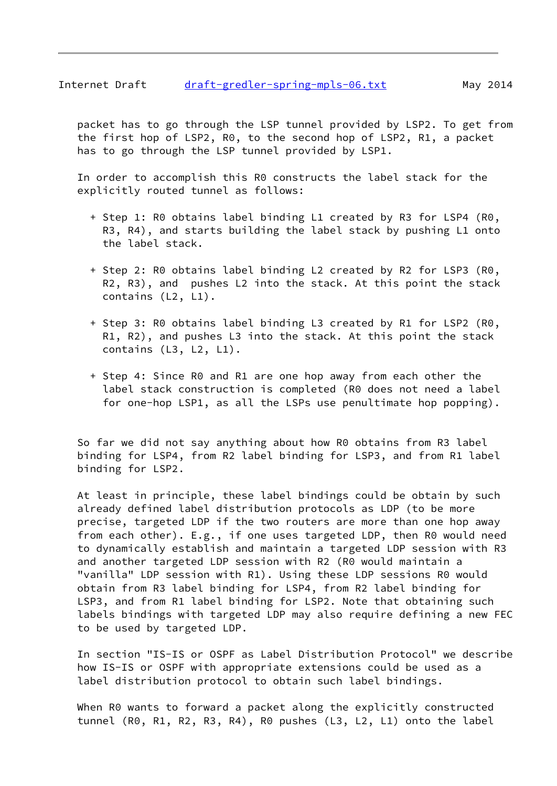## Internet Draft [draft-gredler-spring-mpls-06.txt](https://datatracker.ietf.org/doc/pdf/draft-gredler-spring-mpls-06.txt) May 2014

 packet has to go through the LSP tunnel provided by LSP2. To get from the first hop of LSP2, R0, to the second hop of LSP2, R1, a packet has to go through the LSP tunnel provided by LSP1.

 In order to accomplish this R0 constructs the label stack for the explicitly routed tunnel as follows:

- + Step 1: R0 obtains label binding L1 created by R3 for LSP4 (R0, R3, R4), and starts building the label stack by pushing L1 onto the label stack.
- + Step 2: R0 obtains label binding L2 created by R2 for LSP3 (R0, R2, R3), and pushes L2 into the stack. At this point the stack contains (L2, L1).
- + Step 3: R0 obtains label binding L3 created by R1 for LSP2 (R0, R1, R2), and pushes L3 into the stack. At this point the stack contains (L3, L2, L1).
- + Step 4: Since R0 and R1 are one hop away from each other the label stack construction is completed (R0 does not need a label for one-hop LSP1, as all the LSPs use penultimate hop popping).

 So far we did not say anything about how R0 obtains from R3 label binding for LSP4, from R2 label binding for LSP3, and from R1 label binding for LSP2.

 At least in principle, these label bindings could be obtain by such already defined label distribution protocols as LDP (to be more precise, targeted LDP if the two routers are more than one hop away from each other). E.g., if one uses targeted LDP, then R0 would need to dynamically establish and maintain a targeted LDP session with R3 and another targeted LDP session with R2 (R0 would maintain a "vanilla" LDP session with R1). Using these LDP sessions R0 would obtain from R3 label binding for LSP4, from R2 label binding for LSP3, and from R1 label binding for LSP2. Note that obtaining such labels bindings with targeted LDP may also require defining a new FEC to be used by targeted LDP.

 In section "IS-IS or OSPF as Label Distribution Protocol" we describe how IS-IS or OSPF with appropriate extensions could be used as a label distribution protocol to obtain such label bindings.

When R0 wants to forward a packet along the explicitly constructed tunnel (R0, R1, R2, R3, R4), R0 pushes (L3, L2, L1) onto the label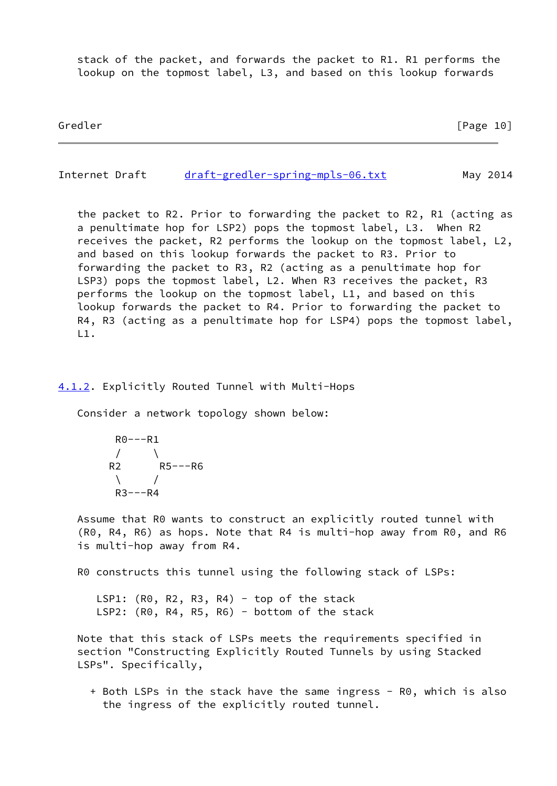stack of the packet, and forwards the packet to R1. R1 performs the lookup on the topmost label, L3, and based on this lookup forwards

Gredler [Page 10]

<span id="page-11-1"></span>Internet Draft [draft-gredler-spring-mpls-06.txt](https://datatracker.ietf.org/doc/pdf/draft-gredler-spring-mpls-06.txt) May 2014

 the packet to R2. Prior to forwarding the packet to R2, R1 (acting as a penultimate hop for LSP2) pops the topmost label, L3. When R2 receives the packet, R2 performs the lookup on the topmost label, L2, and based on this lookup forwards the packet to R3. Prior to forwarding the packet to R3, R2 (acting as a penultimate hop for LSP3) pops the topmost label, L2. When R3 receives the packet, R3 performs the lookup on the topmost label, L1, and based on this lookup forwards the packet to R4. Prior to forwarding the packet to R4, R3 (acting as a penultimate hop for LSP4) pops the topmost label, L1.

#### <span id="page-11-0"></span>[4.1.2](#page-11-0). Explicitly Routed Tunnel with Multi-Hops

Consider a network topology shown below:

 $R0---R1$  $/ \qquad \setminus$  R2 R5---R6  $\sqrt{ }$  $R3---R4$ 

 Assume that R0 wants to construct an explicitly routed tunnel with (R0, R4, R6) as hops. Note that R4 is multi-hop away from R0, and R6 is multi-hop away from R4.

R0 constructs this tunnel using the following stack of LSPs:

LSP1:  $(R0, R2, R3, R4)$  - top of the stack LSP2: (R0, R4, R5, R6) - bottom of the stack

 Note that this stack of LSPs meets the requirements specified in section "Constructing Explicitly Routed Tunnels by using Stacked LSPs". Specifically,

+ Both LSPs in the stack have the same ingress - R0, which is also the ingress of the explicitly routed tunnel.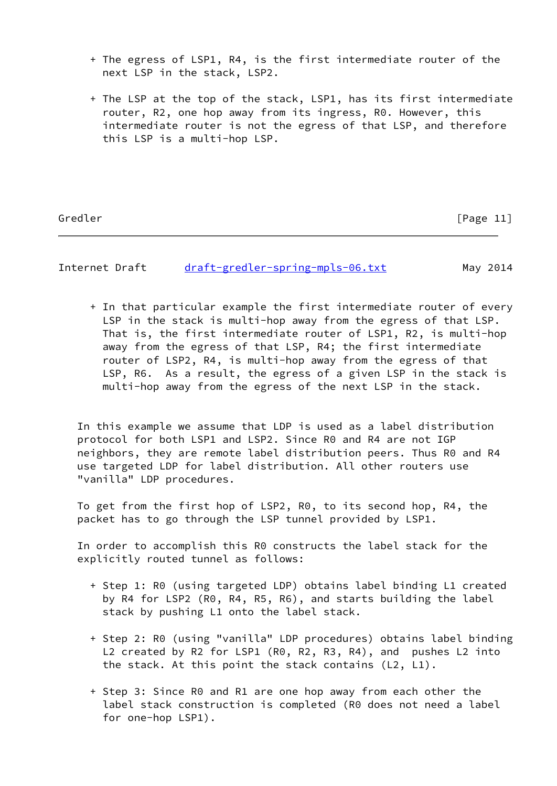- + The egress of LSP1, R4, is the first intermediate router of the next LSP in the stack, LSP2.
- + The LSP at the top of the stack, LSP1, has its first intermediate router, R2, one hop away from its ingress, R0. However, this intermediate router is not the egress of that LSP, and therefore this LSP is a multi-hop LSP.

Gredler [Page 11]

Internet Draft [draft-gredler-spring-mpls-06.txt](https://datatracker.ietf.org/doc/pdf/draft-gredler-spring-mpls-06.txt) May 2014

 + In that particular example the first intermediate router of every LSP in the stack is multi-hop away from the egress of that LSP. That is, the first intermediate router of LSP1, R2, is multi-hop away from the egress of that LSP, R4; the first intermediate router of LSP2, R4, is multi-hop away from the egress of that LSP, R6. As a result, the egress of a given LSP in the stack is multi-hop away from the egress of the next LSP in the stack.

 In this example we assume that LDP is used as a label distribution protocol for both LSP1 and LSP2. Since R0 and R4 are not IGP neighbors, they are remote label distribution peers. Thus R0 and R4 use targeted LDP for label distribution. All other routers use "vanilla" LDP procedures.

 To get from the first hop of LSP2, R0, to its second hop, R4, the packet has to go through the LSP tunnel provided by LSP1.

 In order to accomplish this R0 constructs the label stack for the explicitly routed tunnel as follows:

- + Step 1: R0 (using targeted LDP) obtains label binding L1 created by R4 for LSP2 (R0, R4, R5, R6), and starts building the label stack by pushing L1 onto the label stack.
- + Step 2: R0 (using "vanilla" LDP procedures) obtains label binding L2 created by R2 for LSP1 (R0, R2, R3, R4), and pushes L2 into the stack. At this point the stack contains (L2, L1).
- + Step 3: Since R0 and R1 are one hop away from each other the label stack construction is completed (R0 does not need a label for one-hop LSP1).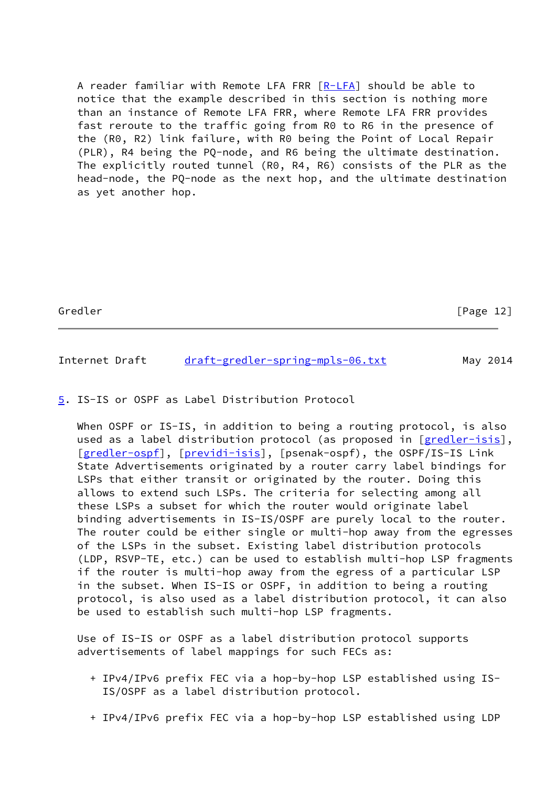A reader familiar with Remote LFA FRR [[R-LFA\]](#page-18-2) should be able to notice that the example described in this section is nothing more than an instance of Remote LFA FRR, where Remote LFA FRR provides fast reroute to the traffic going from R0 to R6 in the presence of the (R0, R2) link failure, with R0 being the Point of Local Repair (PLR), R4 being the PQ-node, and R6 being the ultimate destination. The explicitly routed tunnel (R0, R4, R6) consists of the PLR as the head-node, the PQ-node as the next hop, and the ultimate destination as yet another hop.

Gredler [Page 12]

<span id="page-13-1"></span>Internet Draft [draft-gredler-spring-mpls-06.txt](https://datatracker.ietf.org/doc/pdf/draft-gredler-spring-mpls-06.txt) May 2014

<span id="page-13-0"></span>[5](#page-13-0). IS-IS or OSPF as Label Distribution Protocol

When OSPF or IS-IS, in addition to being a routing protocol, is also used as a label distribution protocol (as proposed in [[gredler-isis\]](#page-17-5), [\[gredler-ospf](#page-17-6)], [\[previdi-isis](#page-17-7)], [psenak-ospf), the OSPF/IS-IS Link State Advertisements originated by a router carry label bindings for LSPs that either transit or originated by the router. Doing this allows to extend such LSPs. The criteria for selecting among all these LSPs a subset for which the router would originate label binding advertisements in IS-IS/OSPF are purely local to the router. The router could be either single or multi-hop away from the egresses of the LSPs in the subset. Existing label distribution protocols (LDP, RSVP-TE, etc.) can be used to establish multi-hop LSP fragments if the router is multi-hop away from the egress of a particular LSP in the subset. When IS-IS or OSPF, in addition to being a routing protocol, is also used as a label distribution protocol, it can also be used to establish such multi-hop LSP fragments.

 Use of IS-IS or OSPF as a label distribution protocol supports advertisements of label mappings for such FECs as:

- + IPv4/IPv6 prefix FEC via a hop-by-hop LSP established using IS- IS/OSPF as a label distribution protocol.
- + IPv4/IPv6 prefix FEC via a hop-by-hop LSP established using LDP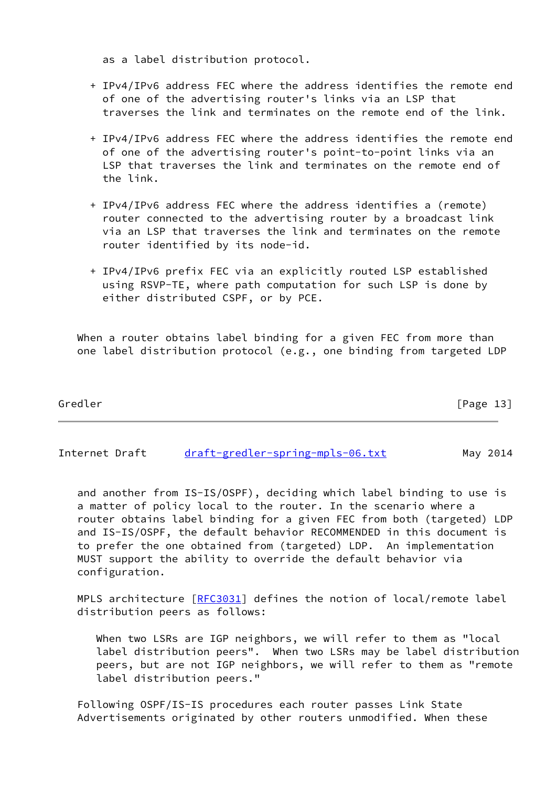as a label distribution protocol.

- + IPv4/IPv6 address FEC where the address identifies the remote end of one of the advertising router's links via an LSP that traverses the link and terminates on the remote end of the link.
- + IPv4/IPv6 address FEC where the address identifies the remote end of one of the advertising router's point-to-point links via an LSP that traverses the link and terminates on the remote end of the link.
- + IPv4/IPv6 address FEC where the address identifies a (remote) router connected to the advertising router by a broadcast link via an LSP that traverses the link and terminates on the remote router identified by its node-id.
- + IPv4/IPv6 prefix FEC via an explicitly routed LSP established using RSVP-TE, where path computation for such LSP is done by either distributed CSPF, or by PCE.

When a router obtains label binding for a given FEC from more than one label distribution protocol (e.g., one binding from targeted LDP

| Gredler | [Page 13] |
|---------|-----------|
|         |           |

Internet Draft [draft-gredler-spring-mpls-06.txt](https://datatracker.ietf.org/doc/pdf/draft-gredler-spring-mpls-06.txt) May 2014

 and another from IS-IS/OSPF), deciding which label binding to use is a matter of policy local to the router. In the scenario where a router obtains label binding for a given FEC from both (targeted) LDP and IS-IS/OSPF, the default behavior RECOMMENDED in this document is to prefer the one obtained from (targeted) LDP. An implementation MUST support the ability to override the default behavior via configuration.

MPLS architecture [[RFC3031](https://datatracker.ietf.org/doc/pdf/rfc3031)] defines the notion of local/remote label distribution peers as follows:

 When two LSRs are IGP neighbors, we will refer to them as "local label distribution peers". When two LSRs may be label distribution peers, but are not IGP neighbors, we will refer to them as "remote label distribution peers."

 Following OSPF/IS-IS procedures each router passes Link State Advertisements originated by other routers unmodified. When these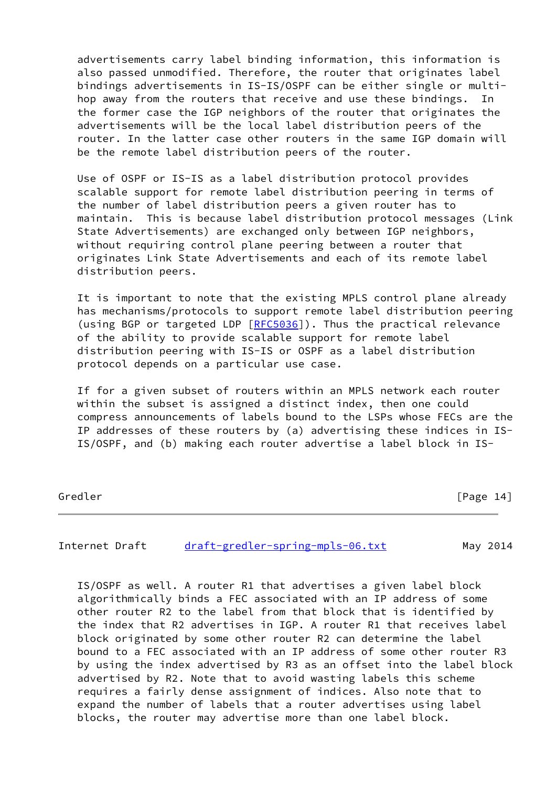advertisements carry label binding information, this information is also passed unmodified. Therefore, the router that originates label bindings advertisements in IS-IS/OSPF can be either single or multi hop away from the routers that receive and use these bindings. In the former case the IGP neighbors of the router that originates the advertisements will be the local label distribution peers of the router. In the latter case other routers in the same IGP domain will be the remote label distribution peers of the router.

 Use of OSPF or IS-IS as a label distribution protocol provides scalable support for remote label distribution peering in terms of the number of label distribution peers a given router has to maintain. This is because label distribution protocol messages (Link State Advertisements) are exchanged only between IGP neighbors, without requiring control plane peering between a router that originates Link State Advertisements and each of its remote label distribution peers.

 It is important to note that the existing MPLS control plane already has mechanisms/protocols to support remote label distribution peering (using BGP or targeted LDP [[RFC5036\]](https://datatracker.ietf.org/doc/pdf/rfc5036)). Thus the practical relevance of the ability to provide scalable support for remote label distribution peering with IS-IS or OSPF as a label distribution protocol depends on a particular use case.

 If for a given subset of routers within an MPLS network each router within the subset is assigned a distinct index, then one could compress announcements of labels bound to the LSPs whose FECs are the IP addresses of these routers by (a) advertising these indices in IS- IS/OSPF, and (b) making each router advertise a label block in IS-

Gredler [Page 14]

Internet Draft [draft-gredler-spring-mpls-06.txt](https://datatracker.ietf.org/doc/pdf/draft-gredler-spring-mpls-06.txt) May 2014

 IS/OSPF as well. A router R1 that advertises a given label block algorithmically binds a FEC associated with an IP address of some other router R2 to the label from that block that is identified by the index that R2 advertises in IGP. A router R1 that receives label block originated by some other router R2 can determine the label bound to a FEC associated with an IP address of some other router R3 by using the index advertised by R3 as an offset into the label block advertised by R2. Note that to avoid wasting labels this scheme requires a fairly dense assignment of indices. Also note that to expand the number of labels that a router advertises using label blocks, the router may advertise more than one label block.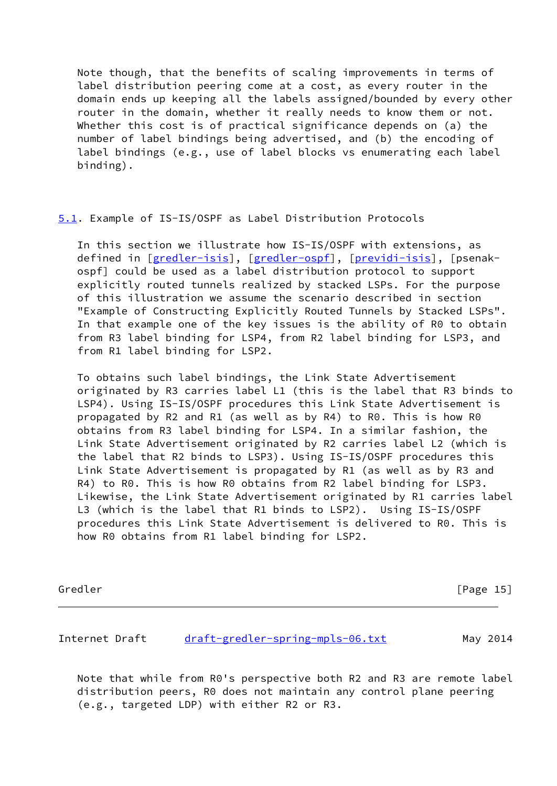Note though, that the benefits of scaling improvements in terms of label distribution peering come at a cost, as every router in the domain ends up keeping all the labels assigned/bounded by every other router in the domain, whether it really needs to know them or not. Whether this cost is of practical significance depends on (a) the number of label bindings being advertised, and (b) the encoding of label bindings (e.g., use of label blocks vs enumerating each label binding).

<span id="page-16-1"></span>[5.1](#page-16-1). Example of IS-IS/OSPF as Label Distribution Protocols

 In this section we illustrate how IS-IS/OSPF with extensions, as defined in [[gredler-isis\]](#page-17-5), [[gredler-ospf\]](#page-17-6), [[previdi-isis\]](#page-17-7), [psenak ospf] could be used as a label distribution protocol to support explicitly routed tunnels realized by stacked LSPs. For the purpose of this illustration we assume the scenario described in section "Example of Constructing Explicitly Routed Tunnels by Stacked LSPs". In that example one of the key issues is the ability of R0 to obtain from R3 label binding for LSP4, from R2 label binding for LSP3, and from R1 label binding for LSP2.

 To obtains such label bindings, the Link State Advertisement originated by R3 carries label L1 (this is the label that R3 binds to LSP4). Using IS-IS/OSPF procedures this Link State Advertisement is propagated by R2 and R1 (as well as by R4) to R0. This is how R0 obtains from R3 label binding for LSP4. In a similar fashion, the Link State Advertisement originated by R2 carries label L2 (which is the label that R2 binds to LSP3). Using IS-IS/OSPF procedures this Link State Advertisement is propagated by R1 (as well as by R3 and R4) to R0. This is how R0 obtains from R2 label binding for LSP3. Likewise, the Link State Advertisement originated by R1 carries label L3 (which is the label that R1 binds to LSP2). Using IS-IS/OSPF procedures this Link State Advertisement is delivered to R0. This is how R0 obtains from R1 label binding for LSP2.

Gredler [Page 15]

<span id="page-16-0"></span>Internet Draft [draft-gredler-spring-mpls-06.txt](https://datatracker.ietf.org/doc/pdf/draft-gredler-spring-mpls-06.txt) May 2014

 Note that while from R0's perspective both R2 and R3 are remote label distribution peers, R0 does not maintain any control plane peering (e.g., targeted LDP) with either R2 or R3.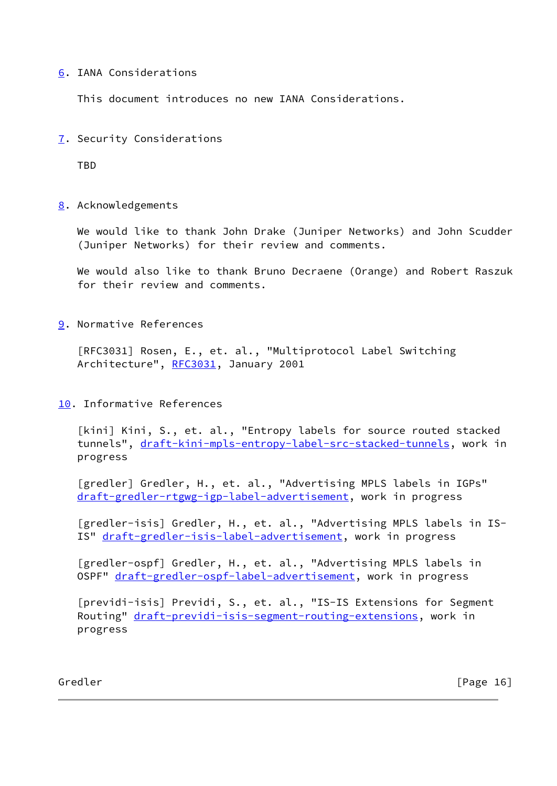## <span id="page-17-0"></span>[6](#page-17-0). IANA Considerations

This document introduces no new IANA Considerations.

<span id="page-17-1"></span>[7](#page-17-1). Security Considerations

TBD

<span id="page-17-2"></span>[8](#page-17-2). Acknowledgements

 We would like to thank John Drake (Juniper Networks) and John Scudder (Juniper Networks) for their review and comments.

 We would also like to thank Bruno Decraene (Orange) and Robert Raszuk for their review and comments.

<span id="page-17-3"></span>[9](#page-17-3). Normative References

 [RFC3031] Rosen, E., et. al., "Multiprotocol Label Switching Architecture", [RFC3031](https://datatracker.ietf.org/doc/pdf/rfc3031), January 2001

<span id="page-17-4"></span>[10.](#page-17-4) Informative References

<span id="page-17-8"></span>[kini] Kini, S., et. al., "Entropy labels for source routed stacked tunnels", [draft-kini-mpls-entropy-label-src-stacked-tunnels,](https://datatracker.ietf.org/doc/pdf/draft-kini-mpls-entropy-label-src-stacked-tunnels) work in progress

[gredler] Gredler, H., et. al., "Advertising MPLS labels in IGPs" [draft-gredler-rtgwg-igp-label-advertisement](https://datatracker.ietf.org/doc/pdf/draft-gredler-rtgwg-igp-label-advertisement), work in progress

<span id="page-17-5"></span>[gredler-isis] Gredler, H., et. al., "Advertising MPLS labels in IS-IS" [draft-gredler-isis-label-advertisement](https://datatracker.ietf.org/doc/pdf/draft-gredler-isis-label-advertisement), work in progress

<span id="page-17-6"></span> [gredler-ospf] Gredler, H., et. al., "Advertising MPLS labels in OSPF" [draft-gredler-ospf-label-advertisement](https://datatracker.ietf.org/doc/pdf/draft-gredler-ospf-label-advertisement), work in progress

<span id="page-17-7"></span> [previdi-isis] Previdi, S., et. al., "IS-IS Extensions for Segment Routing" [draft-previdi-isis-segment-routing-extensions](https://datatracker.ietf.org/doc/pdf/draft-previdi-isis-segment-routing-extensions), work in progress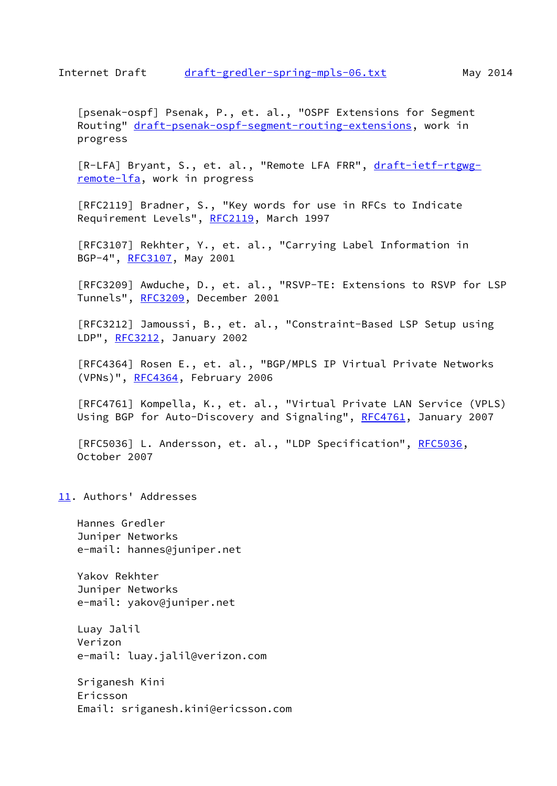<span id="page-18-3"></span><span id="page-18-1"></span> [psenak-ospf] Psenak, P., et. al., "OSPF Extensions for Segment Routing" [draft-psenak-ospf-segment-routing-extensions](https://datatracker.ietf.org/doc/pdf/draft-psenak-ospf-segment-routing-extensions), work in progress

<span id="page-18-2"></span>[R-LFA] Bryant, S., et. al., "Remote LFA FRR", [draft-ietf-rtgwg](https://datatracker.ietf.org/doc/pdf/draft-ietf-rtgwg-remote-lfa) [remote-lfa](https://datatracker.ietf.org/doc/pdf/draft-ietf-rtgwg-remote-lfa), work in progress

 [RFC2119] Bradner, S., "Key words for use in RFCs to Indicate Requirement Levels", [RFC2119](https://datatracker.ietf.org/doc/pdf/rfc2119), March 1997

 [RFC3107] Rekhter, Y., et. al., "Carrying Label Information in BGP-4", [RFC3107](https://datatracker.ietf.org/doc/pdf/rfc3107), May 2001

 [RFC3209] Awduche, D., et. al., "RSVP-TE: Extensions to RSVP for LSP Tunnels", [RFC3209](https://datatracker.ietf.org/doc/pdf/rfc3209), December 2001

 [RFC3212] Jamoussi, B., et. al., "Constraint-Based LSP Setup using LDP", [RFC3212](https://datatracker.ietf.org/doc/pdf/rfc3212), January 2002

 [RFC4364] Rosen E., et. al., "BGP/MPLS IP Virtual Private Networks (VPNs)", [RFC4364](https://datatracker.ietf.org/doc/pdf/rfc4364), February 2006

 [RFC4761] Kompella, K., et. al., "Virtual Private LAN Service (VPLS) Using BGP for Auto-Discovery and Signaling", [RFC4761](https://datatracker.ietf.org/doc/pdf/rfc4761), January 2007

[RFC5036] L. Andersson, et. al., "LDP Specification", [RFC5036](https://datatracker.ietf.org/doc/pdf/rfc5036), October 2007

<span id="page-18-0"></span>[11.](#page-18-0) Authors' Addresses

 Hannes Gredler Juniper Networks e-mail: hannes@juniper.net

 Yakov Rekhter Juniper Networks e-mail: yakov@juniper.net

 Luay Jalil Verizon e-mail: luay.jalil@verizon.com

 Sriganesh Kini Ericsson Email: sriganesh.kini@ericsson.com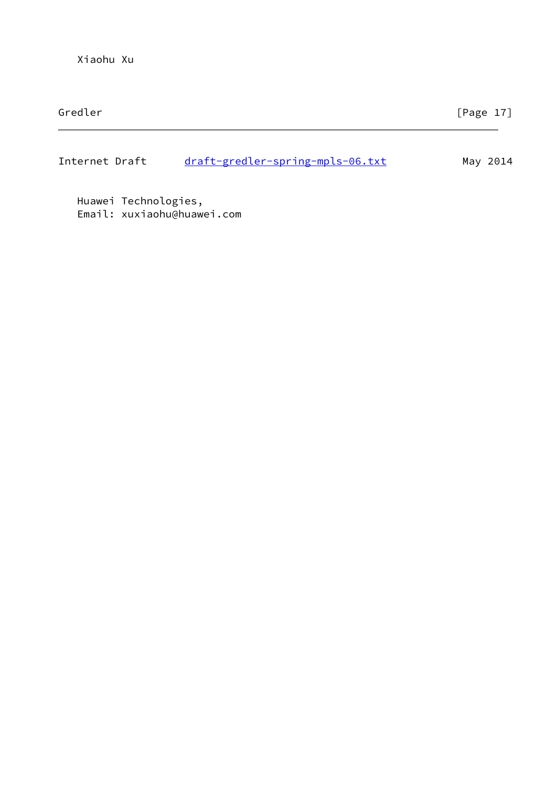Internet Draft [draft-gredler-spring-mpls-06.txt](https://datatracker.ietf.org/doc/pdf/draft-gredler-spring-mpls-06.txt) May 2014

 Huawei Technologies, Email: xuxiaohu@huawei.com